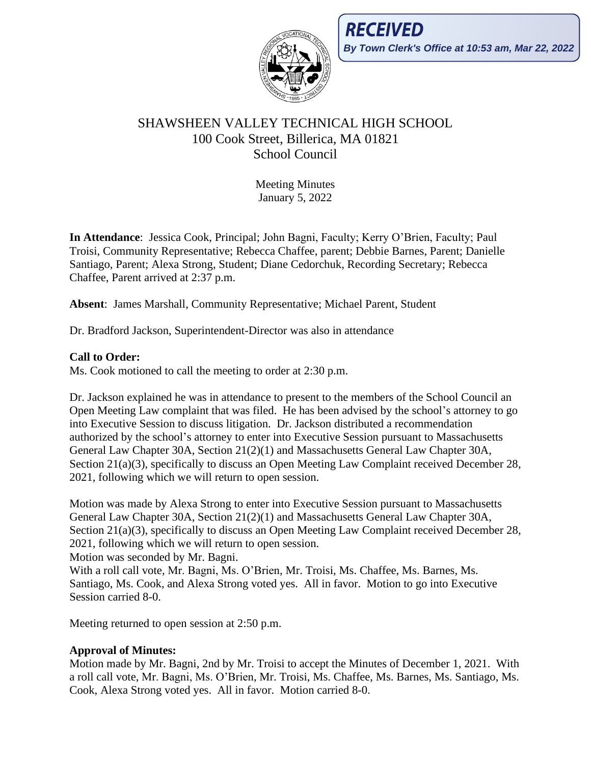

# SHAWSHEEN VALLEY TECHNICAL HIGH SCHOOL 100 Cook Street, Billerica, MA 01821 School Council

Meeting Minutes January 5, 2022

**In Attendance**: Jessica Cook, Principal; John Bagni, Faculty; Kerry O'Brien, Faculty; Paul Troisi, Community Representative; Rebecca Chaffee, parent; Debbie Barnes, Parent; Danielle Santiago, Parent; Alexa Strong, Student; Diane Cedorchuk, Recording Secretary; Rebecca Chaffee, Parent arrived at 2:37 p.m.

**Absent**: James Marshall, Community Representative; Michael Parent, Student

Dr. Bradford Jackson, Superintendent-Director was also in attendance

# **Call to Order:**

Ms. Cook motioned to call the meeting to order at 2:30 p.m.

Dr. Jackson explained he was in attendance to present to the members of the School Council an Open Meeting Law complaint that was filed. He has been advised by the school's attorney to go into Executive Session to discuss litigation. Dr. Jackson distributed a recommendation authorized by the school's attorney to enter into Executive Session pursuant to Massachusetts General Law Chapter 30A, Section 21(2)(1) and Massachusetts General Law Chapter 30A, Section 21(a)(3), specifically to discuss an Open Meeting Law Complaint received December 28, 2021, following which we will return to open session.

Motion was made by Alexa Strong to enter into Executive Session pursuant to Massachusetts General Law Chapter 30A, Section 21(2)(1) and Massachusetts General Law Chapter 30A, Section 21(a)(3), specifically to discuss an Open Meeting Law Complaint received December 28, 2021, following which we will return to open session.

Motion was seconded by Mr. Bagni.

With a roll call vote, Mr. Bagni, Ms. O'Brien, Mr. Troisi, Ms. Chaffee, Ms. Barnes, Ms. Santiago, Ms. Cook, and Alexa Strong voted yes. All in favor. Motion to go into Executive Session carried 8-0.

Meeting returned to open session at 2:50 p.m.

# **Approval of Minutes:**

Motion made by Mr. Bagni, 2nd by Mr. Troisi to accept the Minutes of December 1, 2021. With a roll call vote, Mr. Bagni, Ms. O'Brien, Mr. Troisi, Ms. Chaffee, Ms. Barnes, Ms. Santiago, Ms. Cook, Alexa Strong voted yes. All in favor. Motion carried 8-0.